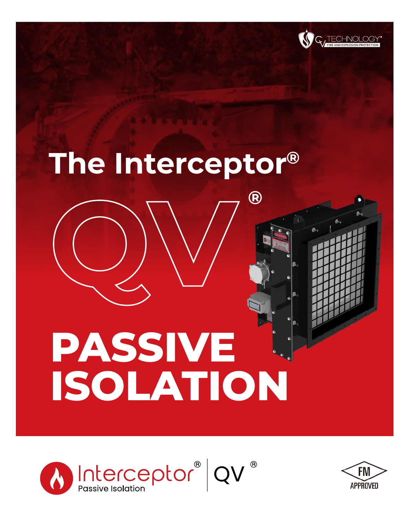

## **The Interceptor®**

**QV**

**®**

# **PASSIVE ISOLATION**



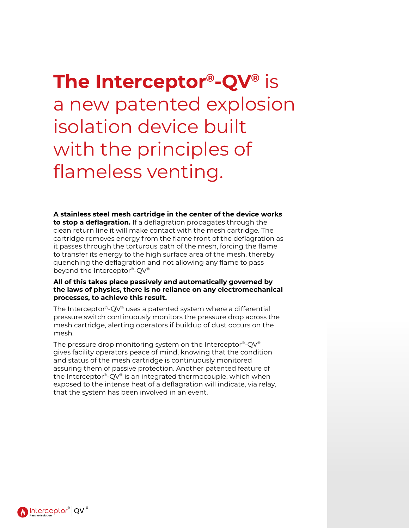**The Interceptor®-QV®** is a new patented explosion isolation device built with the principles of flameless venting.

**A stainless steel mesh cartridge in the center of the device works to stop a deflagration.** If a deflagration propagates through the clean return line it will make contact with the mesh cartridge. The cartridge removes energy from the flame front of the deflagration as it passes through the torturous path of the mesh, forcing the flame to transfer its energy to the high surface area of the mesh, thereby quenching the deflagration and not allowing any flame to pass beyond the Interceptor®-QV®

#### **All of this takes place passively and automatically governed by the laws of physics, there is no reliance on any electromechanical processes, to achieve this result.**

The Interceptor®-QV® uses a patented system where a differential pressure switch continuously monitors the pressure drop across the mesh cartridge, alerting operators if buildup of dust occurs on the mesh.

The pressure drop monitoring system on the Interceptor®-QV® gives facility operators peace of mind, knowing that the condition and status of the mesh cartridge is continuously monitored assuring them of passive protection. Another patented feature of the Interceptor®-QV® is an integrated thermocouple, which when exposed to the intense heat of a deflagration will indicate, via relay, that the system has been involved in an event.

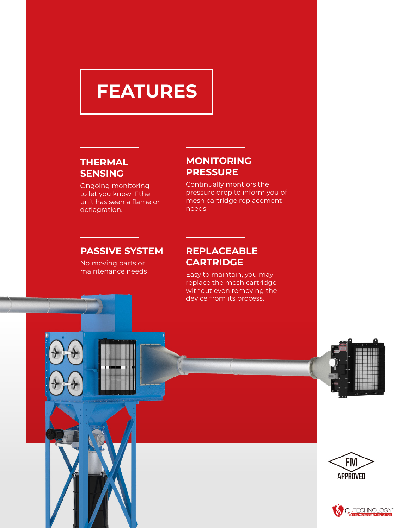### **FEATURES**

#### **THERMAL SENSING**

Ongoing monitoring to let you know if the unit has seen a flame or deflagration.

#### **MONITORING PRESSURE**

Continually montiors the pressure drop to inform you of mesh cartridge replacement needs.

#### **PASSIVE SYSTEM**

No moving parts or maintenance needs

#### **REPLACEABLE CARTRIDGE**

Easy to maintain, you may replace the mesh cartridge without even removing the device from its process.





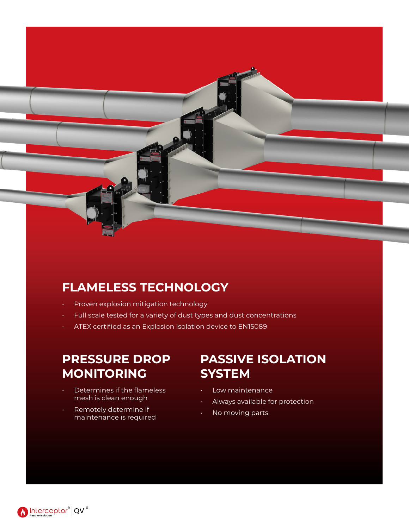#### **FLAMELESS TECHNOLOGY**

- Proven explosion mitigation technology
- Full scale tested for a variety of dust types and dust concentrations
- ATEX certified as an Explosion Isolation device to EN15089

#### **PRESSURE DROP MONITORING**

- Determines if the flameless mesh is clean enough
- Remotely determine if maintenance is required

#### **PASSIVE ISOLATION SYSTEM**

- Low maintenance
- Always available for protection
- No moving parts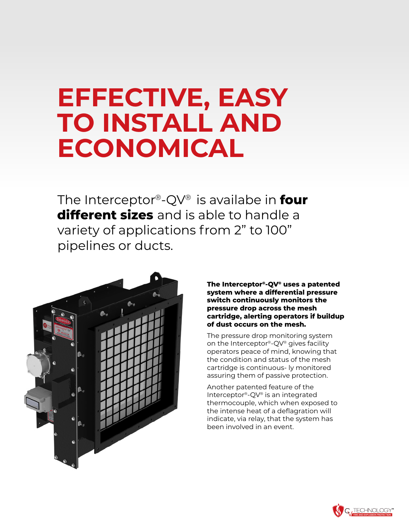## **EFFECTIVE, EASY TO INSTALL AND ECONOMICAL**

The Interceptor®-QV® is availabe in **four different sizes** and is able to handle a variety of applications from 2" to 100" pipelines or ducts.



**The Interceptor®-QV® uses a patented system where a differential pressure switch continuously monitors the pressure drop across the mesh cartridge, alerting operators if buildup of dust occurs on the mesh.**

The pressure drop monitoring system on the Interceptor®-QV® gives facility operators peace of mind, knowing that the condition and status of the mesh cartridge is continuous- ly monitored assuring them of passive protection.

Another patented feature of the Interceptor®-QV® is an integrated thermocouple, which when exposed to the intense heat of a deflagration will indicate, via relay, that the system has been involved in an event.

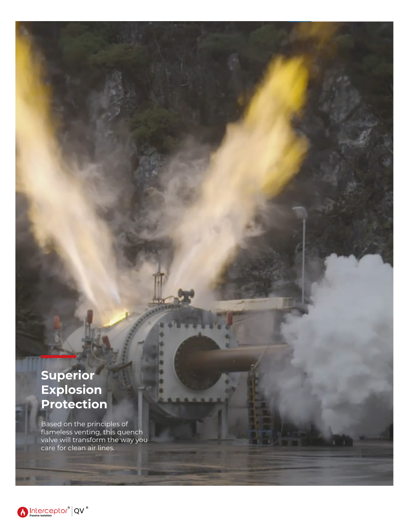#### **Superior Explosion Protection**

Based on the principles of flameless venting, this quench valve will transform the way you care for clean air lines.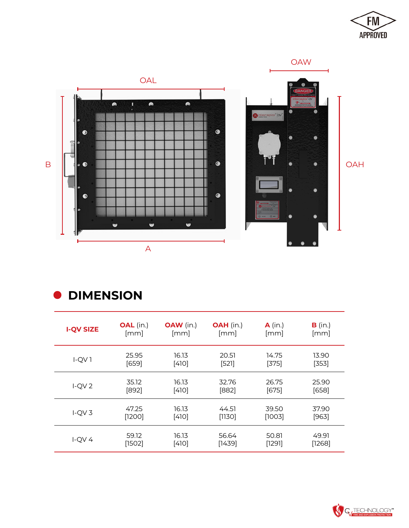



**ODIMENSION** 

| <b>I-QV SIZE</b> | <b>OAL</b> (in.) | <b>OAW</b> (in.) | <b>OAH</b> (in.) | $A$ (in.) | B (in.) |
|------------------|------------------|------------------|------------------|-----------|---------|
|                  | [mm]             | [mm]             | [mm]             | [mm]      | [mm]    |
| $I-QV1$          | 25.95            | 16.13            | 20.51            | 14.75     | 13.90   |
|                  | [659]            | $[4]0]$          | [52]             | [375]     | [353]   |
| $I-QV2$          | 35.12            | 16.13            | 32.76            | 26.75     | 25.90   |
|                  | $[892]$          | $[4]0]$          | $[882]$          | $[675]$   | $[658]$ |
| $I-QV3$          | 47.25            | 16.13            | 44.51            | 39.50     | 37.90   |
|                  | [1200]           | $[4]0]$          | [1130]           | [1003]    | [963]   |
| $I-QV4$          | 59.12            | 16.13            | 56.64            | 50.81     | 49.91   |
|                  | [1502]           | $[410]$          | [1439]           | [129]     | [1268]  |